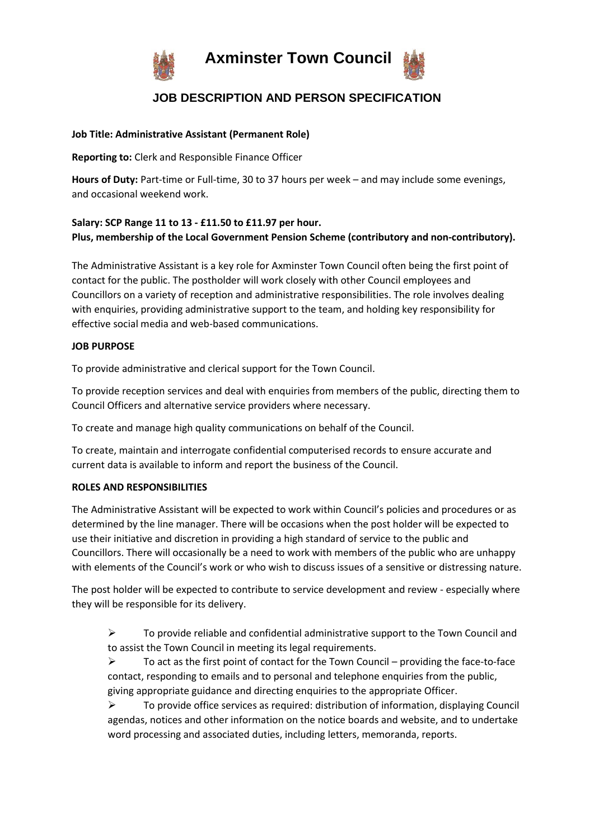

 **Axminster Town Council**



# **JOB DESCRIPTION AND PERSON SPECIFICATION**

#### **Job Title: Administrative Assistant (Permanent Role)**

**Reporting to:** Clerk and Responsible Finance Officer

**Hours of Duty:** Part-time or Full-time, 30 to 37 hours per week – and may include some evenings, and occasional weekend work.

# **Salary: SCP Range 11 to 13 - £11.50 to £11.97 per hour. Plus, membership of the Local Government Pension Scheme (contributory and non-contributory).**

The Administrative Assistant is a key role for Axminster Town Council often being the first point of contact for the public. The postholder will work closely with other Council employees and Councillors on a variety of reception and administrative responsibilities. The role involves dealing with enquiries, providing administrative support to the team, and holding key responsibility for effective social media and web-based communications.

#### **JOB PURPOSE**

To provide administrative and clerical support for the Town Council.

To provide reception services and deal with enquiries from members of the public, directing them to Council Officers and alternative service providers where necessary.

To create and manage high quality communications on behalf of the Council.

To create, maintain and interrogate confidential computerised records to ensure accurate and current data is available to inform and report the business of the Council.

#### **ROLES AND RESPONSIBILITIES**

The Administrative Assistant will be expected to work within Council's policies and procedures or as determined by the line manager. There will be occasions when the post holder will be expected to use their initiative and discretion in providing a high standard of service to the public and Councillors. There will occasionally be a need to work with members of the public who are unhappy with elements of the Council's work or who wish to discuss issues of a sensitive or distressing nature.

The post holder will be expected to contribute to service development and review - especially where they will be responsible for its delivery.

 $\triangleright$  To provide reliable and confidential administrative support to the Town Council and to assist the Town Council in meeting its legal requirements.

 $\triangleright$  To act as the first point of contact for the Town Council – providing the face-to-face contact, responding to emails and to personal and telephone enquiries from the public, giving appropriate guidance and directing enquiries to the appropriate Officer.

➢ To provide office services as required: distribution of information, displaying Council agendas, notices and other information on the notice boards and website, and to undertake word processing and associated duties, including letters, memoranda, reports.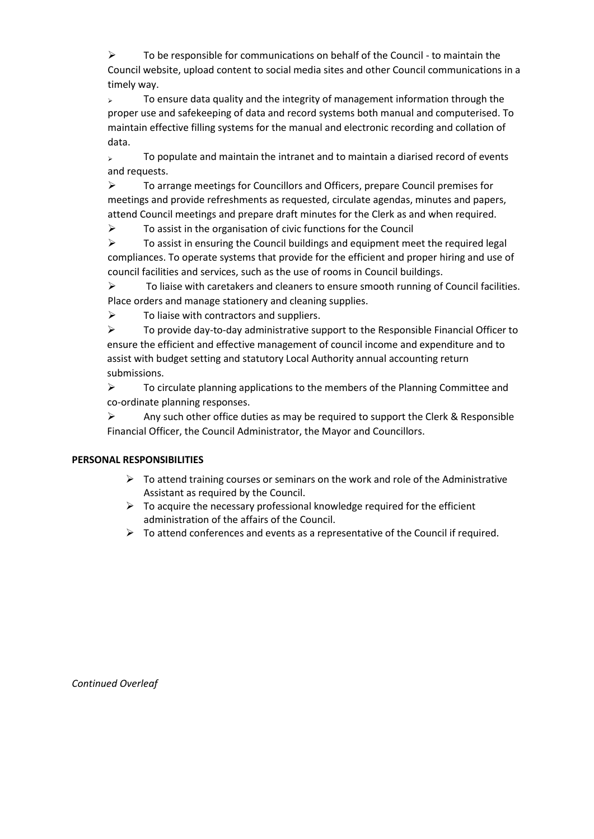$\triangleright$  To be responsible for communications on behalf of the Council - to maintain the Council website, upload content to social media sites and other Council communications in a timely way.

 $\rightarrow$  To ensure data quality and the integrity of management information through the proper use and safekeeping of data and record systems both manual and computerised. To maintain effective filling systems for the manual and electronic recording and collation of data.

 $\rightarrow$  To populate and maintain the intranet and to maintain a diarised record of events and requests.

➢ To arrange meetings for Councillors and Officers, prepare Council premises for meetings and provide refreshments as requested, circulate agendas, minutes and papers, attend Council meetings and prepare draft minutes for the Clerk as and when required.

➢ To assist in the organisation of civic functions for the Council

 $\triangleright$  To assist in ensuring the Council buildings and equipment meet the required legal compliances. To operate systems that provide for the efficient and proper hiring and use of council facilities and services, such as the use of rooms in Council buildings.

➢ To liaise with caretakers and cleaners to ensure smooth running of Council facilities. Place orders and manage stationery and cleaning supplies.

 $\triangleright$  To liaise with contractors and suppliers.

 $\triangleright$  To provide day-to-day administrative support to the Responsible Financial Officer to ensure the efficient and effective management of council income and expenditure and to assist with budget setting and statutory Local Authority annual accounting return submissions.

 $\triangleright$  To circulate planning applications to the members of the Planning Committee and co-ordinate planning responses.

 $\triangleright$  Any such other office duties as may be required to support the Clerk & Responsible Financial Officer, the Council Administrator, the Mayor and Councillors.

## **PERSONAL RESPONSIBILITIES**

- $\triangleright$  To attend training courses or seminars on the work and role of the Administrative Assistant as required by the Council.
- $\triangleright$  To acquire the necessary professional knowledge required for the efficient administration of the affairs of the Council.

 $\triangleright$  To attend conferences and events as a representative of the Council if required.

*Continued Overleaf*